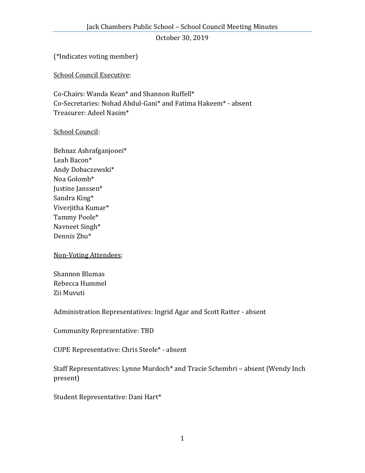(\*Indicates voting member)

School Council Executive:

Co-Chairs: Wanda Kean\* and Shannon Ruffell\* Co-Secretaries: Nohad Abdul-Gani\* and Fatima Hakeem\* - absent Treasurer: Adeel Nasim\*

#### School Council:

Behnaz Ashrafganjooei\* Leah Bacon\* Andy Dobaczewski\* Noa Golomb\* Justine Janssen\* Sandra King\* Viverjitha Kumar\* Tammy Poole\* Navneet Singh\* Dennis Zhu\*

Non-Voting Attendees:

Shannon Blumas Rebecca Hummel Zii Muvuti

Administration Representatives: Ingrid Agar and Scott Ratter - absent

Community Representative: TBD

CUPE Representative: Chris Steele\* - absent

Staff Representatives: Lynne Murdoch\* and Tracie Schembri – absent (Wendy Inch present)

Student Representative: Dani Hart\*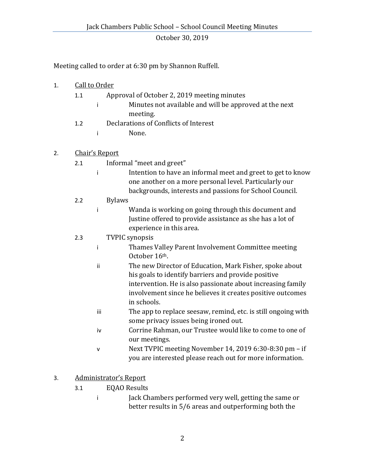Meeting called to order at 6:30 pm by Shannon Ruffell.

## 1. Call to Order

| 1.1 |              | Approval of October 2, 2019 meeting minutes            |
|-----|--------------|--------------------------------------------------------|
|     | $\mathbf{I}$ | Minutes not available and will be approved at the next |
|     |              | meeting.                                               |
| 1.2 |              | Declarations of Conflicts of Interest                  |
|     | $\mathbf{i}$ | None.                                                  |
|     |              |                                                        |

## 2. Chair's Report

- 2.1 Informal "meet and greet"
	- i Intention to have an informal meet and greet to get to know one another on a more personal level. Particularly our backgrounds, interests and passions for School Council.

### 2.2 Bylaws

i Wanda is working on going through this document and Justine offered to provide assistance as she has a lot of experience in this area.

## 2.3 TVPIC synopsis

- i Thames Valley Parent Involvement Committee meeting October 16th.
- ii The new Director of Education, Mark Fisher, spoke about his goals to identify barriers and provide positive intervention. He is also passionate about increasing family involvement since he believes it creates positive outcomes in schools.
- iii The app to replace seesaw, remind, etc. is still ongoing with some privacy issues being ironed out.
- iv Corrine Rahman, our Trustee would like to come to one of our meetings.
- v Next TVPIC meeting November 14, 2019 6:30-8:30 pm if you are interested please reach out for more information.

# 3. Administrator's Report

- 3.1 EQAO Results
	- i Jack Chambers performed very well, getting the same or better results in 5/6 areas and outperforming both the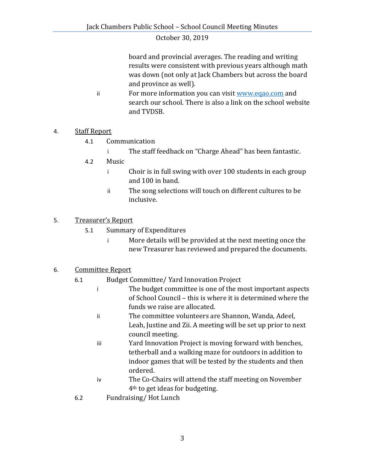board and provincial averages. The reading and writing results were consistent with previous years although math was down (not only at Jack Chambers but across the board and province as well).

ii For more information you can visit [www.eqao.com](http://www.eqao.com/) and search our school. There is also a link on the school website and TVDSB.

## 4. Staff Report

- 4.1 Communication
	- i The staff feedback on "Charge Ahead" has been fantastic.
- 4.2 Music
	- i Choir is in full swing with over 100 students in each group and 100 in band.
	- ii The song selections will touch on different cultures to be inclusive.

### 5. Treasurer's Report

- 5.1 Summary of Expenditures
	- i More details will be provided at the next meeting once the new Treasurer has reviewed and prepared the documents.

### 6. Committee Report

- 6.1 Budget Committee/ Yard Innovation Project
	- i The budget committee is one of the most important aspects of School Council – this is where it is determined where the funds we raise are allocated.
	- ii The committee volunteers are Shannon, Wanda, Adeel, Leah, Justine and Zii. A meeting will be set up prior to next council meeting.
	- iii Yard Innovation Project is moving forward with benches, tetherball and a walking maze for outdoors in addition to indoor games that will be tested by the students and then ordered.
	- iv The Co-Chairs will attend the staff meeting on November 4th to get ideas for budgeting.
- 6.2 Fundraising/ Hot Lunch